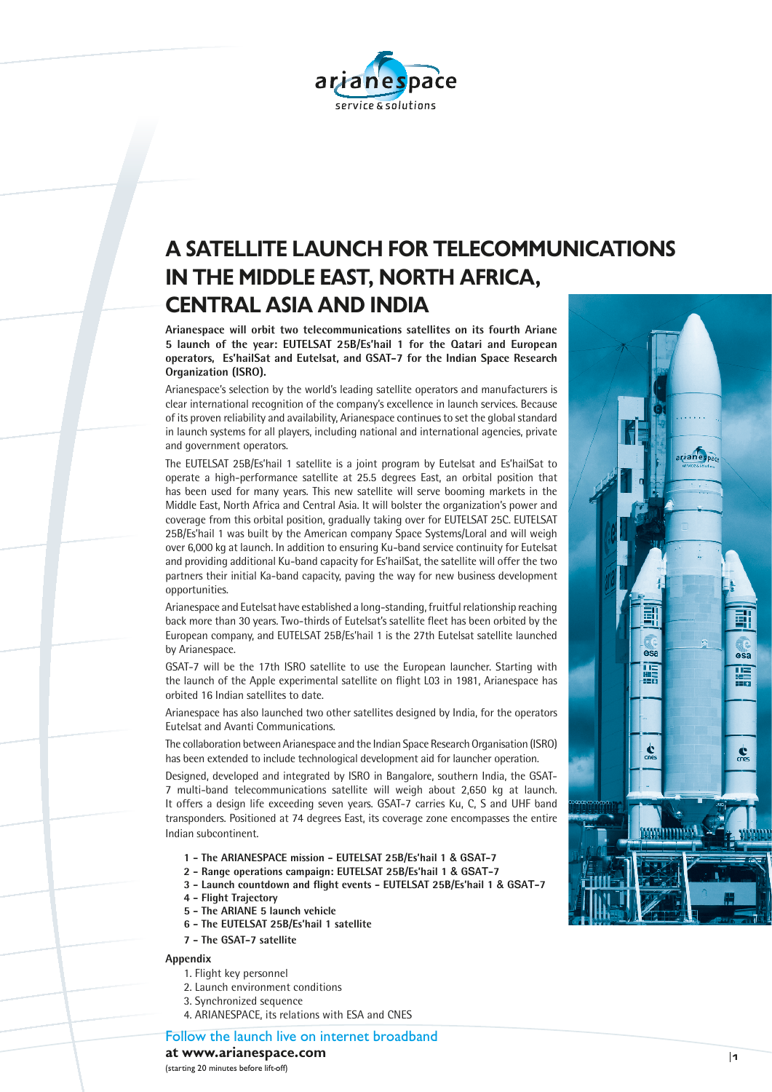

# **A SATELLITE LAUNCH FOR TELECOMMUNICATIONS IN THE MIDDLE EAST, NORTH AFRICA, CENTRAL ASIA AND INDIA**

**Arianespace will orbit two telecommunications satellites on its fourth Ariane 5 launch of the year: EUTELSAT 25B/Es'hail 1 for the Qatari and European operators, Es'hailSat and Eutelsat, and GSAT-7 for the Indian Space Research Organization (ISRO).** 

Arianespace's selection by the world's leading satellite operators and manufacturers is clear international recognition of the company's excellence in launch services. Because of its proven reliability and availability, Arianespace continues to set the global standard in launch systems for all players, including national and international agencies, private and government operators.

The EUTELSAT 25B/Es'hail 1 satellite is a joint program by Eutelsat and Es'hailSat to operate a high-performance satellite at 25.5 degrees East, an orbital position that has been used for many years. This new satellite will serve booming markets in the Middle East, North Africa and Central Asia. It will bolster the organization's power and coverage from this orbital position, gradually taking over for EUTELSAT 25C. EUTELSAT 25B/Es'hail 1 was built by the American company Space Systems/Loral and will weigh over 6,000 kg at launch. In addition to ensuring Ku-band service continuity for Eutelsat and providing additional Ku-band capacity for Es'hailSat, the satellite will offer the two partners their initial Ka-band capacity, paving the way for new business development opportunities.

Arianespace and Eutelsat have established a long-standing, fruitful relationship reaching back more than 30 years. Two-thirds of Eutelsat's satellite fleet has been orbited by the European company, and EUTELSAT 25B/Es'hail 1 is the 27th Eutelsat satellite launched by Arianespace.

GSAT-7 will be the 17th ISRO satellite to use the European launcher. Starting with the launch of the Apple experimental satellite on flight L03 in 1981, Arianespace has orbited 16 Indian satellites to date.

Arianespace has also launched two other satellites designed by India, for the operators Eutelsat and Avanti Communications.

The collaboration between Arianespace and the Indian Space Research Organisation (ISRO) has been extended to include technological development aid for launcher operation.

Designed, developed and integrated by ISRO in Bangalore, southern India, the GSAT-7 multi-band telecommunications satellite will weigh about 2,650 kg at launch. It offers a design life exceeding seven years. GSAT-7 carries Ku, C, S and UHF band transponders. Positioned at 74 degrees East, its coverage zone encompasses the entire Indian subcontinent.

- **1 The ARIANESPACE mission EUTELSAT 25B/Es'hail 1** & **G**S**AT-7**
- **2 Range operations campaign: EUTELSAT 25B/Es'hail 1** & **G**S**A**T**-7**
- **3 Launch countdown and flight events EUTELSAT 25B/Es'hail 1** & **G**S**A**T**-7**
- **4 Flight Trajectory**
- **5 The ARIANE 5 launch vehicle**
- **6 The EUTELSAT 25B/Es'hail 1 satellite**
- **7 The GSAT-7 satellite**

#### **Appendix**

- 1. Flight key personnel
- 2. Launch environment conditions
- 3. Synchronized sequence
- 4. ARIANESPACE, its relations with ESA and CNES

Follow the launch live on internet broadband

**at www.arianespace.com** 

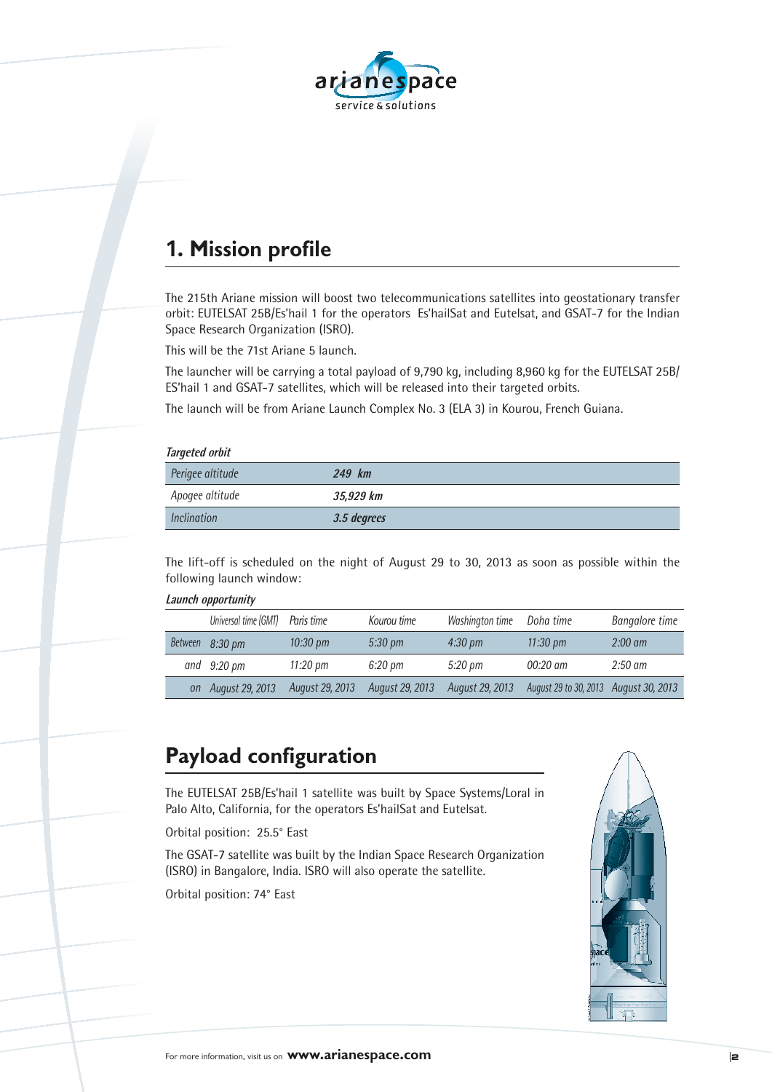

## **1. Mission profile**

The 215th Ariane mission will boost two telecommunications satellites into geostationary transfer orbit: EUTELSAT 25B/Es'hail 1 for the operators Es'hailSat and Eutelsat, and GSAT-7 for the Indian Space Research Organization (ISRO).

This will be the 71st Ariane 5 launch.

The launcher will be carrying a total payload of 9,790 kg, including 8,960 kg for the EUTELSAT 25B/ ES'hail 1 and GSAT-7 satellites, which will be released into their targeted orbits.

The launch will be from Ariane Launch Complex No. 3 (ELA 3) in Kourou, French Guiana.

|  | <b>Targeted orbit</b> |
|--|-----------------------|
|  |                       |

| <i>rargeted vivit</i> |             |
|-----------------------|-------------|
| Perigee altitude      | 249 km      |
| Apogee altitude       | 35,929 km   |
| <i>Inclination</i>    | 3.5 degrees |

The lift-off is scheduled on the night of August 29 to 30, 2013 as soon as possible within the following launch window:

#### **Launch opportunity**

| Universal time (GMT) Paris time |                    | Kourou time       | Washington time   | Doha time                             | <b>Bangalore</b> time |
|---------------------------------|--------------------|-------------------|-------------------|---------------------------------------|-----------------------|
| Between 8:30 pm                 | $10:30 \text{ pm}$ | $5:30 \text{ pm}$ | $4:30 \text{ pm}$ | $11:30 \text{ pm}$                    | $2:00 \text{ am}$     |
| and $9:20 \text{ pm}$           | 11:20 pm           | 6:20 pm           | 5:20 pm           | $00:20$ am                            | $2:50 \text{ am}$     |
| on August 29, 2013              | August 29, 2013    | August 29, 2013   | August 29, 2013   | August 29 to 30, 2013 August 30, 2013 |                       |

### **Payload configuration**

The EUTELSAT 25B/Es'hail 1 satellite was built by Space Systems/Loral in Palo Alto, California, for the operators Es'hailSat and Eutelsat.

Orbital position: 25.5° East

The GSAT-7 satellite was built by the Indian Space Research Organization (ISRO) in Bangalore, India. ISRO will also operate the satellite.

Orbital position: 74° East

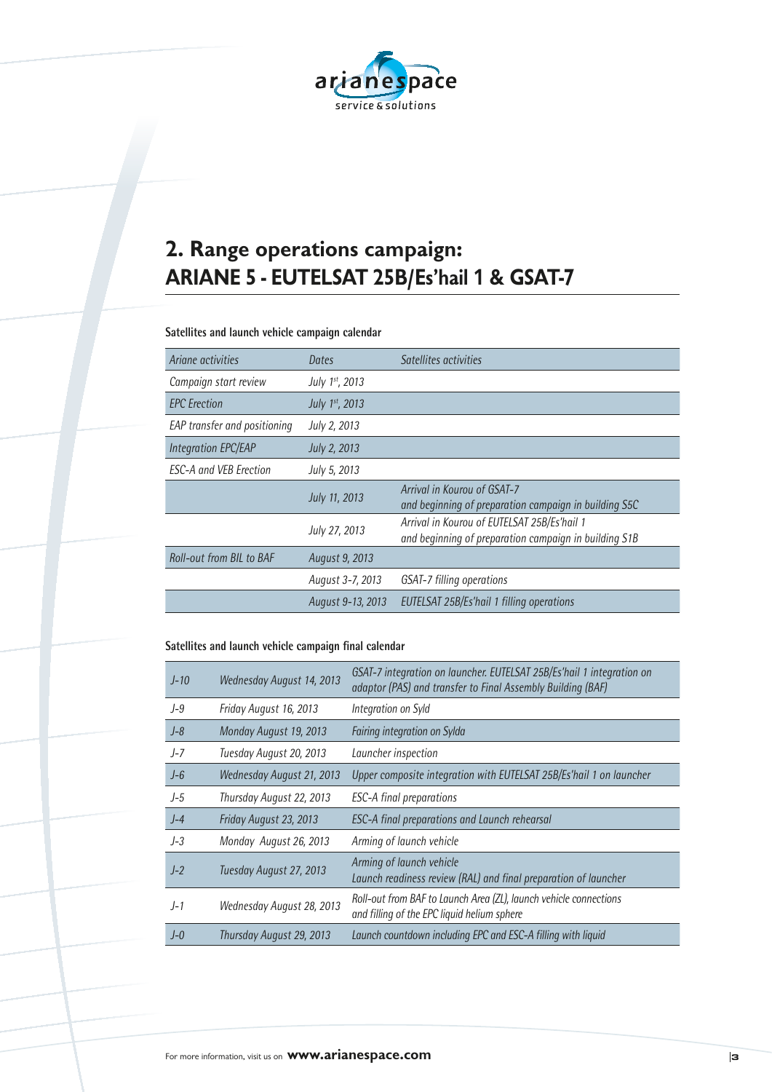

# **2. Range operations campaign: ARIANE 5 - EUTELSAT 25B/Es'hail 1 & GSAT-7**

#### **Satellites and launch vehicle campaign calendar**

| Ariane activities             | Dates             | Satellites activities                                                                                |
|-------------------------------|-------------------|------------------------------------------------------------------------------------------------------|
| Campaign start review         | July 1st, 2013    |                                                                                                      |
| <b>EPC</b> Erection           | July 1st, 2013    |                                                                                                      |
| EAP transfer and positioning  | July 2, 2013      |                                                                                                      |
| <b>Integration EPC/EAP</b>    | July 2, 2013      |                                                                                                      |
| <b>ESC-A and VEB Erection</b> | July 5, 2013      |                                                                                                      |
|                               | July 11, 2013     | Arrival in Kourou of GSAT-7<br>and beginning of preparation campaign in building S5C                 |
|                               | July 27, 2013     | Arrival in Kourou of EUTELSAT 25B/Es'hail 1<br>and beginning of preparation campaign in building S1B |
| Roll-out from BIL to BAF      | August 9, 2013    |                                                                                                      |
|                               | August 3-7, 2013  | GSAT-7 filling operations                                                                            |
|                               | August 9-13, 2013 | EUTELSAT 25B/Es'hail 1 filling operations                                                            |

#### **Satellites and launch vehicle campaign final calendar**

| $J-10$  | Wednesday August 14, 2013 | GSAT-7 integration on launcher. EUTELSAT 25B/Es'hail 1 integration on<br>adaptor (PAS) and transfer to Final Assembly Building (BAF) |
|---------|---------------------------|--------------------------------------------------------------------------------------------------------------------------------------|
| $J-9$   | Friday August 16, 2013    | Integration on Syld                                                                                                                  |
| $J - 8$ | Monday August 19, 2013    | Fairing integration on Sylda                                                                                                         |
| $J-7$   | Tuesday August 20, 2013   | Launcher inspection                                                                                                                  |
| $J - 6$ | Wednesday August 21, 2013 | Upper composite integration with EUTELSAT 25B/Es'hail 1 on launcher                                                                  |
| $J-5$   | Thursday August 22, 2013  | <b>ESC-A final preparations</b>                                                                                                      |
| $J-4$   | Friday August 23, 2013    | ESC-A final preparations and Launch rehearsal                                                                                        |
| $J-3$   | Monday August 26, 2013    | Arming of launch vehicle                                                                                                             |
| $J-2$   | Tuesday August 27, 2013   | Arming of launch vehicle<br>Launch readiness review (RAL) and final preparation of launcher                                          |
| $J-1$   | Wednesday August 28, 2013 | Roll-out from BAF to Launch Area (ZL), launch vehicle connections<br>and filling of the EPC liquid helium sphere                     |
| $I - 0$ | Thursday August 29, 2013  | Launch countdown including EPC and ESC-A filling with liquid                                                                         |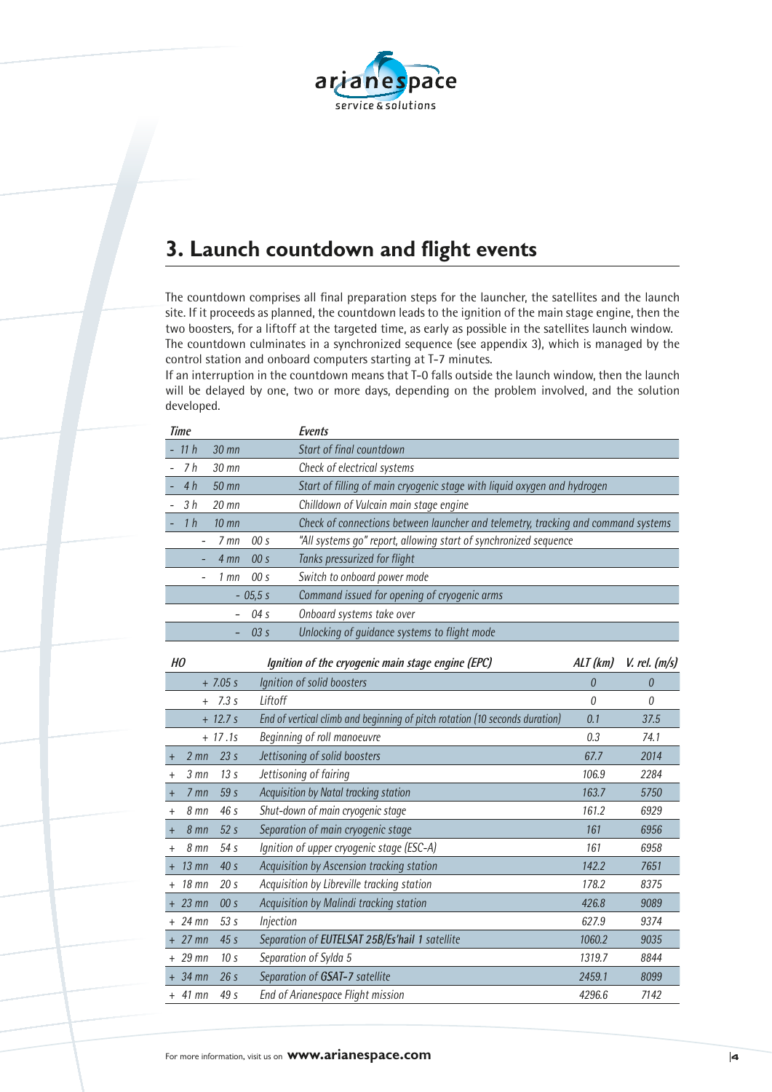

## **3. Launch countdown and flight events**

The countdown comprises all final preparation steps for the launcher, the satellites and the launch site. If it proceeds as planned, the countdown leads to the ignition of the main stage engine, then the two boosters, for a liftoff at the targeted time, as early as possible in the satellites launch window. The countdown culminates in a synchronized sequence (see appendix 3), which is managed by the control station and onboard computers starting at T-7 minutes.

If an interruption in the countdown means that T-0 falls outside the launch window, then the launch will be delayed by one, two or more days, depending on the problem involved, and the solution developed.

| <b>Time</b>                  |                          | <b>Events</b>                                                                     |          |                   |
|------------------------------|--------------------------|-----------------------------------------------------------------------------------|----------|-------------------|
| 11 <sub>h</sub>              | 30 mn                    | Start of final countdown                                                          |          |                   |
| 7 <sub>h</sub>               | $30$ mn                  | Check of electrical systems                                                       |          |                   |
| 4h                           | 50 mn                    | Start of filling of main cryogenic stage with liquid oxygen and hydrogen          |          |                   |
| 3 <sub>h</sub>               | 20 mn                    | Chilldown of Vulcain main stage engine                                            |          |                   |
| 1 <sub>h</sub>               | $10$ mn                  | Check of connections between launcher and telemetry, tracking and command systems |          |                   |
|                              | $7$ mn                   | "All systems go" report, allowing start of synchronized sequence<br>00 s          |          |                   |
|                              | $4 \text{mn}$            | 00 s<br>Tanks pressurized for flight                                              |          |                   |
|                              | $1$ mn                   | Switch to onboard power mode<br>00 s                                              |          |                   |
|                              |                          | Command issued for opening of cryogenic arms<br>$-05,5s$                          |          |                   |
|                              | $\overline{\phantom{0}}$ | Onboard systems take over<br>04 s                                                 |          |                   |
|                              |                          | Unlocking of guidance systems to flight mode<br>03 s                              |          |                   |
|                              |                          |                                                                                   |          |                   |
| HO                           |                          | Ignition of the cryogenic main stage engine (EPC)                                 | ALT (km) | $V.$ rel. $(m/s)$ |
|                              | $+ 7.05 s$               | Ignition of solid boosters                                                        | $\theta$ | $\theta$          |
| $^{+}$                       | 7.3 s                    | Liftoff                                                                           | $\theta$ | 0                 |
|                              | $+ 12.7 s$               | End of vertical climb and beginning of pitch rotation (10 seconds duration)       | 0.1      | 37.5              |
|                              | $+ 17.1s$                | Beginning of roll manoeuvre                                                       | 0.3      | 74.1              |
| $2 \, \text{mn}$<br>$\,^+$   | 23 <sub>s</sub>          | Jettisoning of solid boosters                                                     | 67.7     | 2014              |
| $3 \,$ mn<br>$\ddot{}$       | 13 <sub>s</sub>          | Jettisoning of fairing                                                            | 106.9    | 2284              |
| 7 mn<br>$\ddot{}$            | 59 s                     | Acquisition by Natal tracking station                                             | 163.7    | 5750              |
| 8 mn<br>$\,^+$               | 46 s                     | Shut-down of main cryogenic stage                                                 | 161.2    | 6929              |
| 8 mn<br>$\boldsymbol{+}$     | 52 <sub>s</sub>          | Separation of main cryogenic stage                                                | 161      | 6956              |
| 8 mn<br>$^+$                 | 54 s                     | Ignition of upper cryogenic stage (ESC-A)                                         | 161      | 6958              |
| $13 \text{ mm}$<br>$\ddot{}$ | 40 s                     | Acquisition by Ascension tracking station                                         | 142.2    | 7651              |
| 18 mn                        | 20 <sub>s</sub>          | Acquisition by Libreville tracking station                                        | 178.2    | 8375              |
| $23$ mn                      | 00 s                     | Acquisition by Malindi tracking station                                           | 426.8    | 9089              |
| $+24$ mn                     | 53 s                     | Injection                                                                         | 627.9    | 9374              |
| $+27$ mn                     | 45s                      | Separation of EUTELSAT 25B/Es'hail 1 satellite                                    | 1060.2   | 9035              |
| 29 mn<br>$^{+}$              | 10 <sub>s</sub>          | Separation of Sylda 5                                                             | 1319.7   | 8844              |
| + 34 mn                      | 26s                      | Separation of GSAT-7 satellite                                                    | 2459.1   | 8099              |
| $+$ 41 mn                    | 49 s                     | <b>End of Arianespace Flight mission</b>                                          | 4296.6   | 7142              |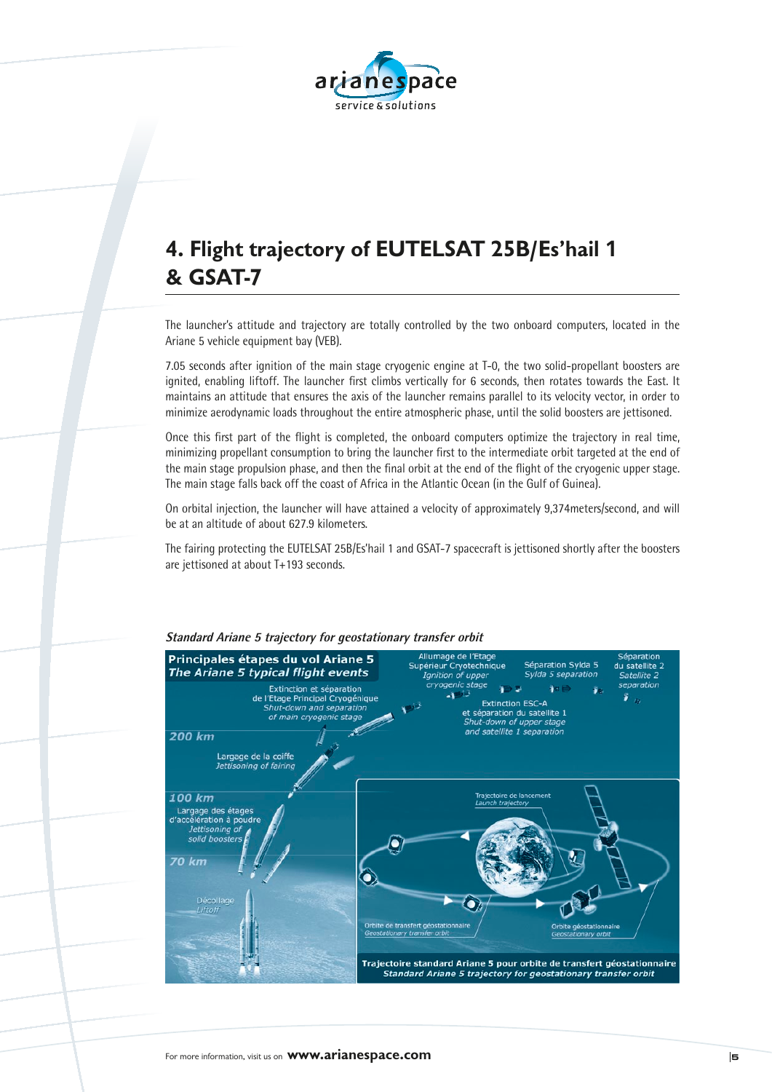

# **4. Flight trajectory of EUTELSAT 25B/Es'hail 1 & GSAT-7**

The launcher's attitude and trajectory are totally controlled by the two onboard computers, located in the Ariane 5 vehicle equipment bay (VEB).

7.05 seconds after ignition of the main stage cryogenic engine at T-0, the two solid-propellant boosters are ignited, enabling liftoff. The launcher first climbs vertically for 6 seconds, then rotates towards the East. It maintains an attitude that ensures the axis of the launcher remains parallel to its velocity vector, in order to minimize aerodynamic loads throughout the entire atmospheric phase, until the solid boosters are jettisoned.

Once this first part of the flight is completed, the onboard computers optimize the trajectory in real time, minimizing propellant consumption to bring the launcher first to the intermediate orbit targeted at the end of the main stage propulsion phase, and then the final orbit at the end of the flight of the cryogenic upper stage. The main stage falls back off the coast of Africa in the Atlantic Ocean (in the Gulf of Guinea).

On orbital injection, the launcher will have attained a velocity of approximately 9,374meters/second, and will be at an altitude of about 627.9 kilometers.

The fairing protecting the EUTELSAT 25B/Es'hail 1 and GSAT-7 spacecraft is jettisoned shortly after the boosters are jettisoned at about T+193 seconds.



#### **Standard Ariane 5 trajectory for geostationary transfer orbit**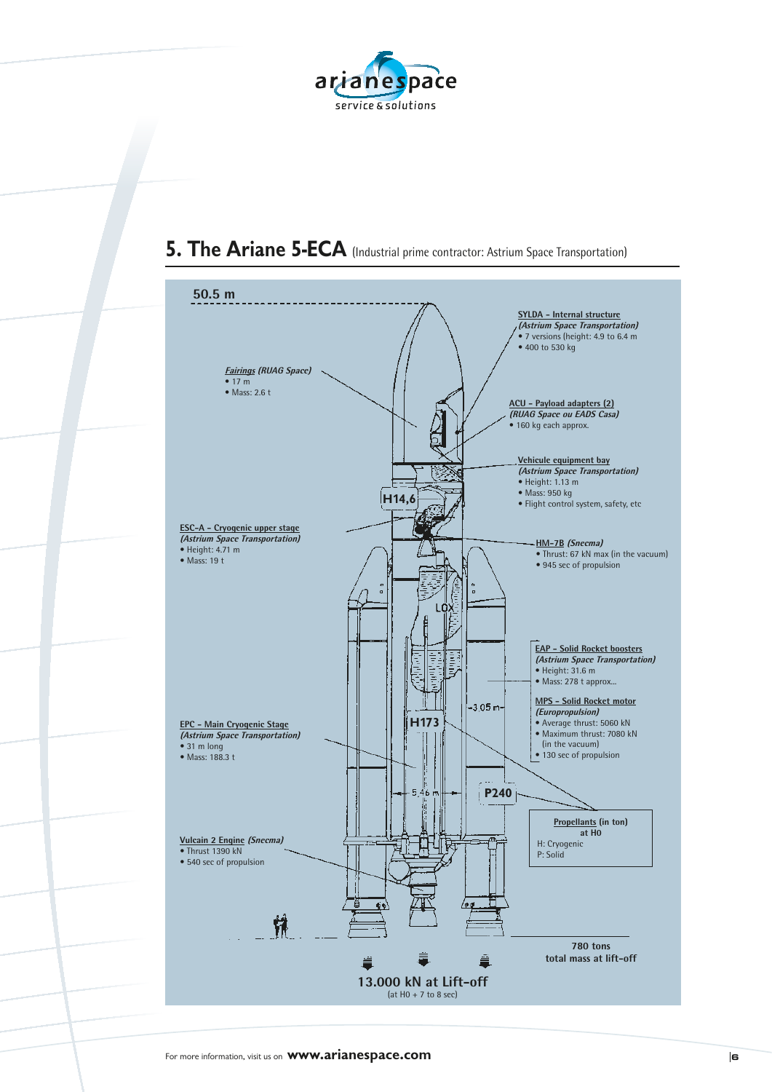



## **5. The Ariane 5-ECA** (Industrial prime contractor: Astrium Space Transportation)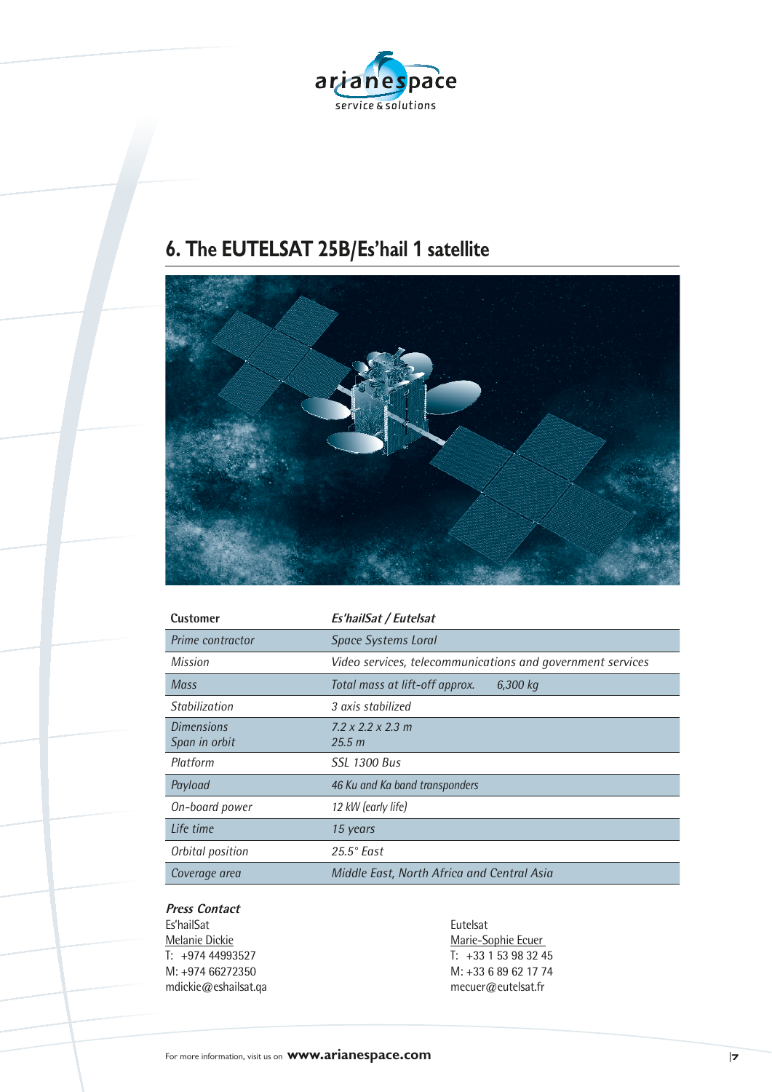

# **6. The EUTELSAT 25B/Es'hail 1 satellite**



| Customer          | Es'hailSat / Eutelsat                                      |
|-------------------|------------------------------------------------------------|
| Prime contractor  | <b>Space Systems Loral</b>                                 |
| Mission           | Video services, telecommunications and government services |
| Mass              | Total mass at lift-off approx.<br>6,300 kg                 |
| Stabilization     | 3 axis stabilized                                          |
| <b>Dimensions</b> | $7.2 \times 2.2 \times 2.3$ m                              |
| Span in orbit     | 25.5 m                                                     |
| Platform          | SSL 1300 Bus                                               |
| Payload           | 46 Ku and Ka band transponders                             |
| On-board power    | 12 kW (early life)                                         |
| Life time         | 15 years                                                   |
| Orbital position  | $25.5^{\circ}$ East                                        |
| Coverage area     | Middle East, North Africa and Central Asia                 |

### **Press Contact**

Es'hailSat<br><u>Melanie Dickie</u> Eutelsat<br>Marie-Sc mdickie@eshailsat.qa

Melanie Dickie Marie-Sophie Ecuer<br>
T: +974 44993527 T: +33 1 53 98 32 4 T: +974 44993527<br>
M: +974 66272350<br>
M: +33 6 89 62 17 74 M: +33 6 89 62 17 74<br>mecuer@eutelsat.fr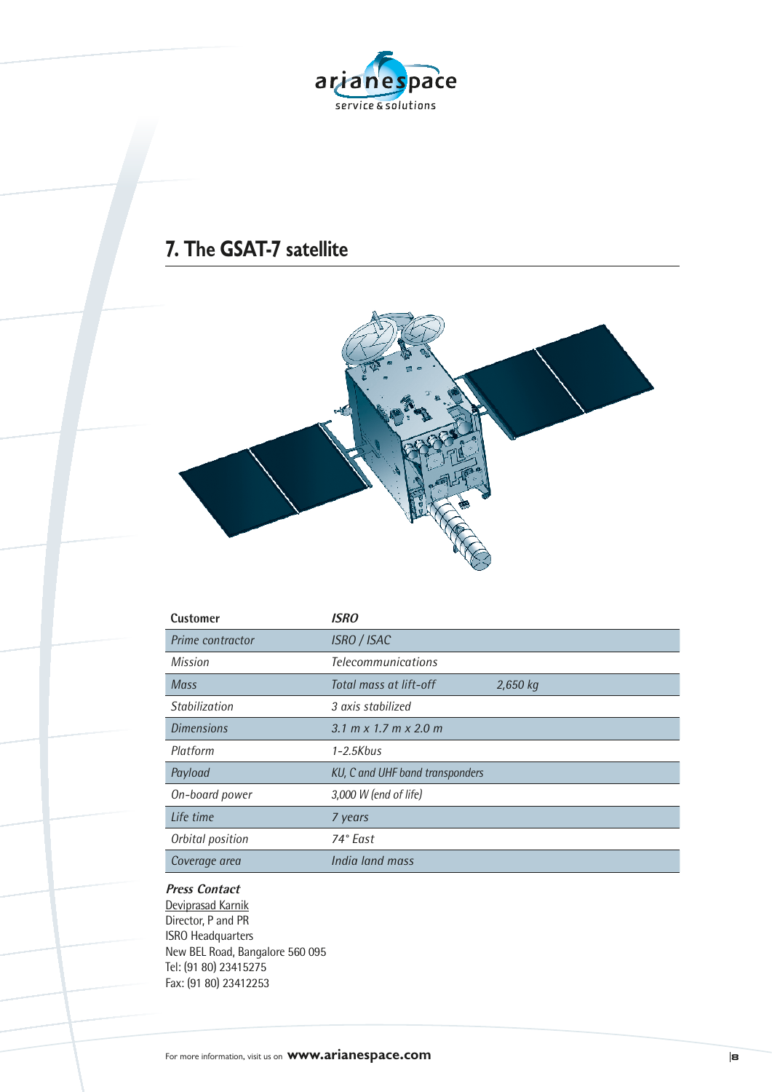

### **7. The GSAT-7 satellite**



| <b>Customer</b>   | <b>ISRO</b>                     |          |
|-------------------|---------------------------------|----------|
| Prime contractor  | <b>ISRO / ISAC</b>              |          |
| Mission           | <b>Telecommunications</b>       |          |
| <b>Mass</b>       | Total mass at lift-off          | 2,650 kg |
| Stabilization     | 3 axis stabilized               |          |
| <b>Dimensions</b> | 3.1 m x 1.7 m x 2.0 m           |          |
| Platform          | $1 - 2.5Kbus$                   |          |
| Payload           | KU, C and UHF band transponders |          |
| On-board power    | 3,000 W (end of life)           |          |
| Life time         | 7 years                         |          |
| Orbital position  | 74° East                        |          |
| Coverage area     | India land mass                 |          |
|                   |                                 |          |

#### **Press Contact**

Deviprasad Karnik Director, P and PR ISRO Headquarters New BEL Road, Bangalore 560 095 Tel: (91 80) 23415275 Fax: (91 80) 23412253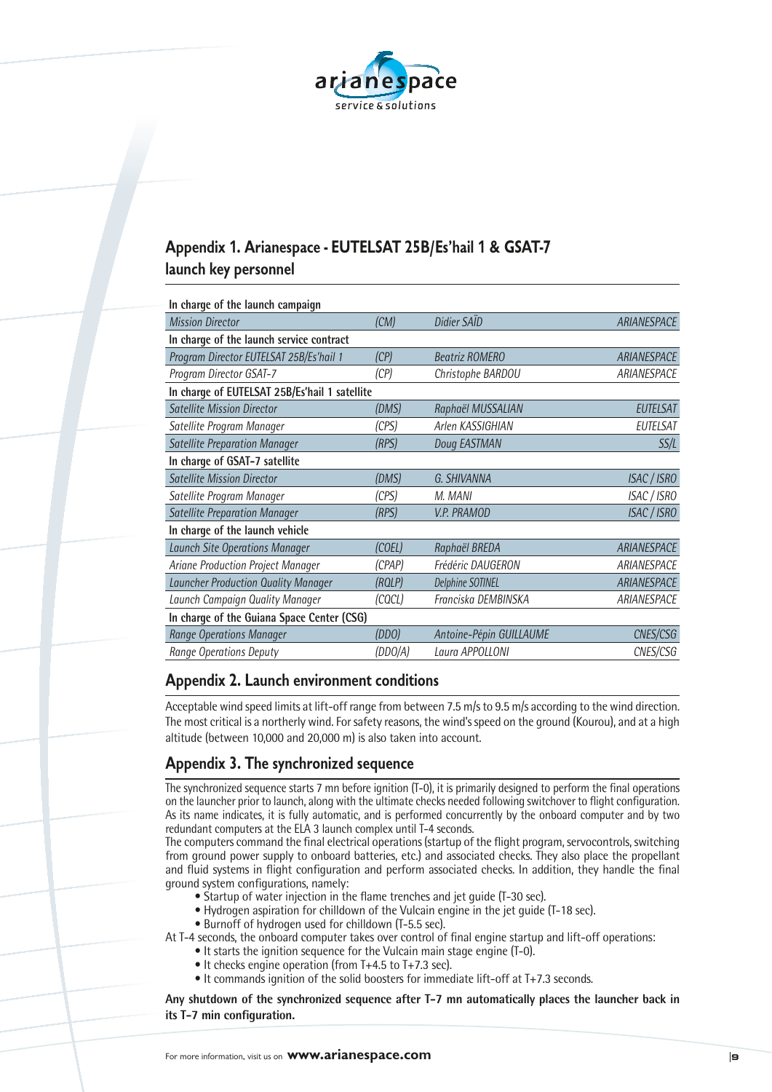

### **Appendix 1. Arianespace - EUTELSAT 25B/Es'hail 1 & GSAT-7 launch key personnel**

| In charge of the launch campaign              |         |                         |                    |
|-----------------------------------------------|---------|-------------------------|--------------------|
| <b>Mission Director</b>                       | (CM)    | Didier SAID             | ARIANESPACE        |
| In charge of the launch service contract      |         |                         |                    |
| Program Director EUTELSAT 25B/Es'hail 1       | (CP)    | <b>Beatriz ROMERO</b>   | ARIANESPACE        |
| Program Director GSAT-7                       | (CP)    | Christophe BARDOU       | ARIANESPACE        |
| In charge of EUTELSAT 25B/Es'hail 1 satellite |         |                         |                    |
| <b>Satellite Mission Director</b>             | (DMS)   | Raphaël MUSSALIAN       | <b>EUTELSAT</b>    |
| Satellite Program Manager                     | (CPS)   | Arlen KASSIGHIAN        | <b>EUTELSAT</b>    |
| <b>Satellite Preparation Manager</b>          | (RPS)   | Doug EASTMAN            | SS/L               |
| In charge of GSAT-7 satellite                 |         |                         |                    |
| <b>Satellite Mission Director</b>             | (DMS)   | G. SHIVANNA             | <b>ISAC / ISRO</b> |
| Satellite Program Manager                     | (CPS)   | M. MANI                 | ISAC / ISRO        |
| <b>Satellite Preparation Manager</b>          | (RPS)   | <b>V.P. PRAMOD</b>      | ISAC / ISRO        |
| In charge of the launch vehicle               |         |                         |                    |
| <b>Launch Site Operations Manager</b>         | (COEL)  | Raphaël BREDA           | ARIANESPACE        |
| Ariane Production Project Manager             | (CPAP)  | Frédéric DAUGERON       | ARIANESPACE        |
| Launcher Production Quality Manager           | (ROLP)  | <b>Delphine SOTINEL</b> | <b>ARIANESPACE</b> |
| Launch Campaign Quality Manager               | (COCL)  | Franciska DEMBINSKA     | ARIANESPACE        |
| In charge of the Guiana Space Center (CSG)    |         |                         |                    |
| <b>Range Operations Manager</b>               | (DDO)   | Antoine-Pépin GUILLAUME | CNES/CSG           |
| <b>Range Operations Deputy</b>                | (DDO/A) | Laura APPOLLONI         | CNES/CSG           |

#### **Appendix 2. Launch environment conditions**

Acceptable wind speed limits at lift-off range from between 7.5 m/s to 9.5 m/s according to the wind direction. The most critical is a northerly wind. For safety reasons, the wind's speed on the ground (Kourou), and at a high altitude (between 10,000 and 20,000 m) is also taken into account.

### **Appendix 3. The synchronized sequence**

The synchronized sequence starts 7 mn before ignition (T-0), it is primarily designed to perform the final operations on the launcher prior to launch, along with the ultimate checks needed following switchover to flight configuration. As its name indicates, it is fully automatic, and is performed concurrently by the onboard computer and by two redundant computers at the ELA 3 launch complex until T-4 seconds.

The computers command the final electrical operations (startup of the flight program, servocontrols, switching from ground power supply to onboard batteries, etc.) and associated checks. They also place the propellant and fluid systems in flight configuration and perform associated checks. In addition, they handle the final ground system configurations, namely:

- Startup of water injection in the flame trenches and jet guide (T-30 sec).
- Hydrogen aspiration for chilldown of the Vulcain engine in the jet guide (T-18 sec).
- Burnoff of hydrogen used for chilldown (T-5.5 sec).

At T-4 seconds, the onboard computer takes over control of final engine startup and lift-off operations:

- It starts the ignition sequence for the Vulcain main stage engine (T-0).
- It checks engine operation (from T+4.5 to T+7.3 sec).
- It commands ignition of the solid boosters for immediate lift-off at T+7.3 seconds.

**Any shutdown of the synchronized sequence after T-7 mn automatically places the launcher back in its T-7 min configuration.**